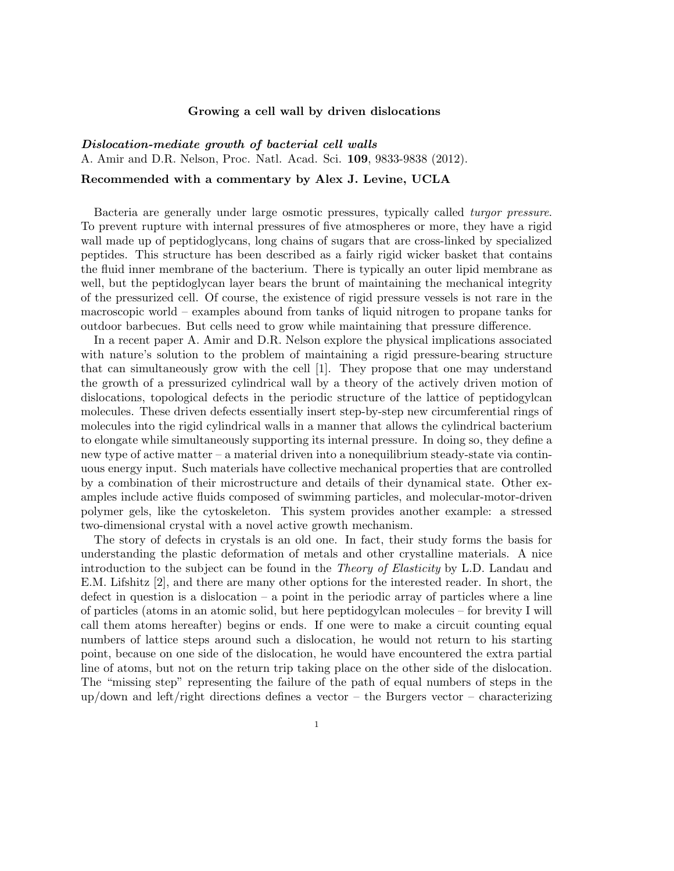## Growing a cell wall by driven dislocations

## *Dislocation-mediate growth of bacterial cell walls*

A. Amir and D.R. Nelson, Proc. Natl. Acad. Sci. 109, 9833-9838 (2012).

## Recommended with a commentary by Alex J. Levine, UCLA

Bacteria are generally under large osmotic pressures, typically called *turgor pressure*. To prevent rupture with internal pressures of five atmospheres or more, they have a rigid wall made up of peptidoglycans, long chains of sugars that are cross-linked by specialized peptides. This structure has been described as a fairly rigid wicker basket that contains the fluid inner membrane of the bacterium. There is typically an outer lipid membrane as well, but the peptidoglycan layer bears the brunt of maintaining the mechanical integrity of the pressurized cell. Of course, the existence of rigid pressure vessels is not rare in the macroscopic world – examples abound from tanks of liquid nitrogen to propane tanks for outdoor barbecues. But cells need to grow while maintaining that pressure difference.

In a recent paper A. Amir and D.R. Nelson explore the physical implications associated with nature's solution to the problem of maintaining a rigid pressure-bearing structure that can simultaneously grow with the cell [1]. They propose that one may understand the growth of a pressurized cylindrical wall by a theory of the actively driven motion of dislocations, topological defects in the periodic structure of the lattice of peptidogylcan molecules. These driven defects essentially insert step-by-step new circumferential rings of molecules into the rigid cylindrical walls in a manner that allows the cylindrical bacterium to elongate while simultaneously supporting its internal pressure. In doing so, they define a new type of active matter – a material driven into a nonequilibrium steady-state via continuous energy input. Such materials have collective mechanical properties that are controlled by a combination of their microstructure and details of their dynamical state. Other examples include active fluids composed of swimming particles, and molecular-motor-driven polymer gels, like the cytoskeleton. This system provides another example: a stressed two-dimensional crystal with a novel active growth mechanism.

The story of defects in crystals is an old one. In fact, their study forms the basis for understanding the plastic deformation of metals and other crystalline materials. A nice introduction to the subject can be found in the *Theory of Elasticity* by L.D. Landau and E.M. Lifshitz [2], and there are many other options for the interested reader. In short, the defect in question is a dislocation – a point in the periodic array of particles where a line of particles (atoms in an atomic solid, but here peptidogylcan molecules – for brevity I will call them atoms hereafter) begins or ends. If one were to make a circuit counting equal numbers of lattice steps around such a dislocation, he would not return to his starting point, because on one side of the dislocation, he would have encountered the extra partial line of atoms, but not on the return trip taking place on the other side of the dislocation. The "missing step" representing the failure of the path of equal numbers of steps in the up/down and left/right directions defines a vector – the Burgers vector – characterizing